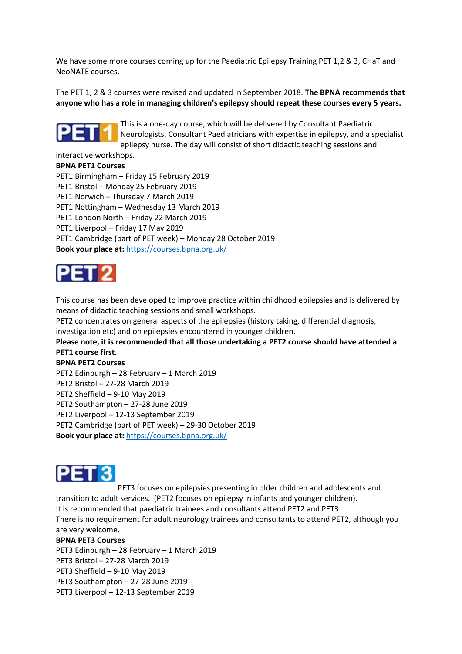We have some more courses coming up for the Paediatric Epilepsy Training PET 1,2 & 3, CHaT and NeoNATE courses.

The PET 1, 2 & 3 courses were revised and updated in September 2018. **The BPNA recommends that anyone who has a role in managing children's epilepsy should repeat these courses every 5 years.**



This is a one-day course, which will be delivered by Consultant Paediatric Neurologists, Consultant Paediatricians with expertise in epilepsy, and a specialist epilepsy nurse. The day will consist of short didactic teaching sessions and

interactive workshops.

## **BPNA PET1 Courses**

PET1 Birmingham – Friday 15 February 2019 PET1 Bristol – Monday 25 February 2019 PET1 Norwich – Thursday 7 March 2019 PET1 Nottingham – Wednesday 13 March 2019 PET1 London North – Friday 22 March 2019 PET1 Liverpool – Friday 17 May 2019 PET1 Cambridge (part of PET week) – Monday 28 October 2019 **Book your place at:** <https://courses.bpna.org.uk/>



This course has been developed to improve practice within childhood epilepsies and is delivered by means of didactic teaching sessions and small workshops.

PET2 concentrates on general aspects of the epilepsies (history taking, differential diagnosis, investigation etc) and on epilepsies encountered in younger children.

**Please note, it is recommended that all those undertaking a PET2 course should have attended a PET1 course first.** 

## **BPNA PET2 Courses**

PET2 Edinburgh – 28 February – 1 March 2019

PET2 Bristol – 27-28 March 2019

PET2 Sheffield – 9-10 May 2019

PET2 Southampton – 27-28 June 2019

PET2 Liverpool – 12-13 September 2019

PET2 Cambridge (part of PET week) – 29-30 October 2019

**Book your place at:** <https://courses.bpna.org.uk/>



PET3 focuses on epilepsies presenting in older children and adolescents and transition to adult services. (PET2 focuses on epilepsy in infants and younger children). It is recommended that paediatric trainees and consultants attend PET2 and PET3.

There is no requirement for adult neurology trainees and consultants to attend PET2, although you are very welcome.

## **BPNA PET3 Courses**

PET3 Edinburgh – 28 February – 1 March 2019 PET3 Bristol – 27-28 March 2019 PET3 Sheffield – 9-10 May 2019 PET3 Southampton – 27-28 June 2019 PET3 Liverpool – 12-13 September 2019